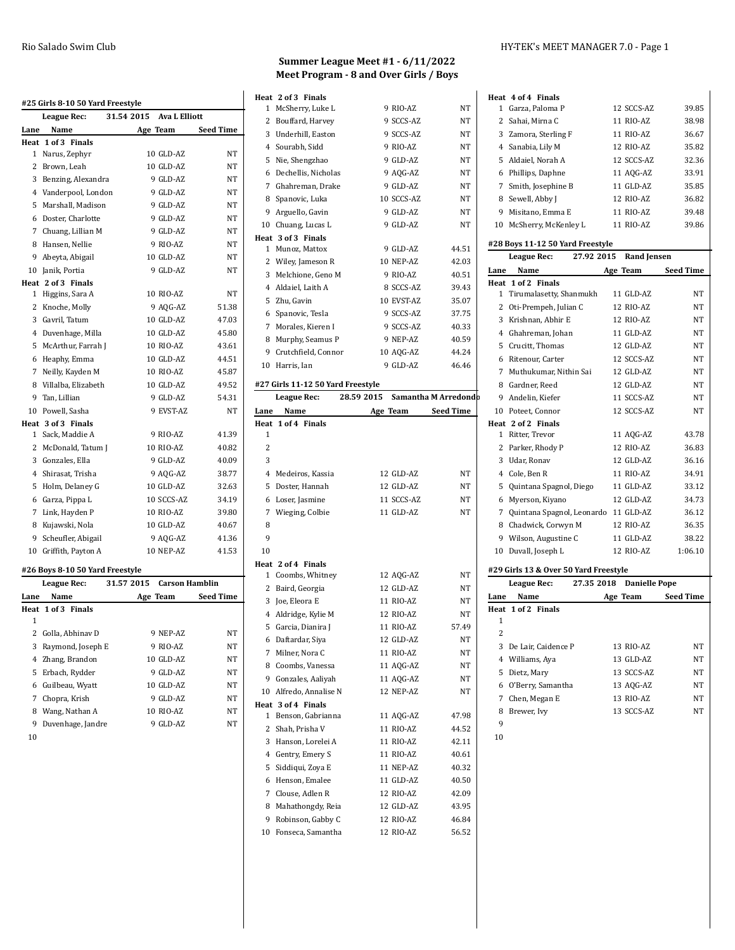| #25 Girls 8-10 50 Yard Freestyle |                                 |            |                       |                  |
|----------------------------------|---------------------------------|------------|-----------------------|------------------|
|                                  | League Rec:                     | 31.54 2015 | <b>Ava L Elliott</b>  |                  |
| Lane                             | Name                            |            | Age Team              | <b>Seed Time</b> |
|                                  | Heat 1 of 3 Finals              |            |                       |                  |
|                                  | 1 Narus, Zephyr                 |            | 10 GLD-AZ             | NT               |
|                                  | 2 Brown, Leah                   |            | 10 GLD-AZ             | NT               |
| 3                                | Benzing, Alexandra              |            | 9 GLD-AZ              | NT               |
|                                  | 4 Vanderpool, London            |            | 9 GLD-AZ              | NT               |
| 5.                               | Marshall, Madison               |            | 9 GLD-AZ              | NT               |
|                                  | 6 Doster, Charlotte             |            | 9 GLD-AZ              | NT               |
|                                  | 7 Chuang, Lillian M             |            | 9 GLD-AZ              | NT               |
|                                  | 8 Hansen, Nellie                |            | 9 RIO-AZ              | NΤ               |
| 9                                | Abeyta, Abigail                 |            | 10 GLD-AZ             | NT               |
|                                  | 10 Janik, Portia                |            | 9 GLD-AZ              | NT               |
|                                  | Heat 2 of 3 Finals              |            |                       |                  |
| 1                                | Higgins, Sara A                 |            | 10 RIO-AZ             | NT               |
| $\overline{c}$                   | Knoche, Molly                   |            | 9 AQG-AZ              | 51.38            |
|                                  | 3 Gavril, Tatum                 |            | 10 GLD-AZ             | 47.03            |
|                                  | 4 Duvenhage, Milla              |            | 10 GLD-AZ             | 45.80            |
| 5                                | McArthur, Farrah J              |            | 10 RIO-AZ             | 43.61            |
| 6                                | Heaphy, Emma                    |            | 10 GLD-AZ             | 44.51            |
| 7                                | Neilly, Kayden M                |            | 10 RIO-AZ             | 45.87            |
|                                  | 8 Villalba, Elizabeth           |            | 10 GLD-AZ             | 49.52            |
| 9                                | Tan, Lillian                    |            | 9 GLD-AZ              | 54.31            |
| 10                               | Powell, Sasha                   |            | 9 EVST-AZ             | NT               |
|                                  | Heat 3 of 3 Finals              |            |                       |                  |
| $\mathbf{1}$                     | Sack, Maddie A                  |            | 9 RIO-AZ              | 41.39            |
|                                  | 2 McDonald, Tatum J             |            | 10 RIO-AZ             | 40.82            |
|                                  | 3 Gonzales, Ella                |            | 9 GLD-AZ              | 40.09            |
|                                  | 4 Shirasat, Trisha              |            | 9 AQG-AZ              | 38.77            |
|                                  | 5 Holm, Delaney G               |            | 10 GLD-AZ             | 32.63            |
|                                  | 6 Garza, Pippa L                |            | 10 SCCS-AZ            | 34.19            |
|                                  | 7 Link, Hayden P                |            | 10 RIO-AZ             | 39.80            |
|                                  | 8 Kujawski, Nola                |            | 10 GLD-AZ             | 40.67            |
| 9                                | Scheufler, Abigail              |            | 9 AQG-AZ              | 41.36            |
|                                  | 10 Griffith, Payton A           |            | 10 NEP-AZ             | 41.53            |
|                                  | #26 Boys 8-10 50 Yard Freestyle |            |                       |                  |
|                                  | League Rec:                     | 31.57 2015 | <b>Carson Hamblin</b> |                  |
| Lane                             | Name                            |            | Age Team              | <b>Seed Time</b> |
|                                  | Heat 1 of 3 Finals              |            |                       |                  |
| 1                                |                                 |            |                       |                  |
|                                  | 2 Golla, Abhinav D              |            | 9 NEP-AZ              | NT               |
| 3                                | Raymond, Joseph E               |            | 9 RIO-AZ              | NT               |

 Zhang, Brandon 10 GLD-AZ NT Erbach, Rydder 9 GLD-AZ NT Guilbeau, Wyatt 10 GLD-AZ NT Chopra, Krish 9 GLD-AZ NT 8 Wang, Nathan A 10 RIO-AZ NT 9 Duvenhage, Jandre 9 GLD-AZ NT

## **Summer League Meet #1 - 6/11/2022 Meet Program - 8 and Over Girls / Boys**

|                     | Heat 2 of 3 Finals                |                    |                      |
|---------------------|-----------------------------------|--------------------|----------------------|
| $\mathbf{1}$        | McSherry, Luke L                  | 9 RIO-AZ           | NT                   |
|                     | 2 Bouffard, Harvey                | 9 SCCS-AZ          | NΤ                   |
|                     | 3 Underhill, Easton               | 9 SCCS-AZ          | NT                   |
|                     | 4 Sourabh, Sidd                   | 9 RIO-AZ           | NΤ                   |
| 5                   | Nie, Shengzhao                    | 9 GLD-AZ           | NT                   |
| 6                   | Dechellis, Nicholas               | 9 AQG-AZ           | NΤ                   |
|                     | 7 Ghahreman, Drake                | 9 GLD-AZ           | NΤ                   |
|                     | 8 Spanovic, Luka                  | 10 SCCS-AZ         | NT                   |
|                     | 9 Arguello, Gavin                 | 9 GLD-AZ           | NΤ                   |
|                     | 10 Chuang, Lucas L                | 9 GLD-AZ           | <b>NT</b>            |
|                     | Heat 3 of 3 Finals                |                    |                      |
|                     | 1 Munoz, Mattox                   | 9 GLD-AZ           | 44.51                |
|                     | 2 Wiley, Jameson R                | 10 NEP-AZ          | 42.03                |
| 3                   | Melchione, Geno M                 | 9 RIO-AZ           | 40.51                |
|                     | 4 Aldaiel, Laith A                | 8 SCCS-AZ          | 39.43                |
|                     | 5 Zhu, Gavin                      | 10 EVST-AZ         | 35.07                |
|                     | 6 Spanovic, Tesla                 | 9 SCCS-AZ          | 37.75                |
|                     | 7 Morales, Kieren I               | 9 SCCS-AZ          | 40.33                |
|                     | 8 Murphy, Seamus P                | 9 NEP-AZ           | 40.59                |
|                     | 9 Crutchfield, Connor             | 10 AQG-AZ          | 44.24                |
|                     | 10 Harris, Ian                    | 9 GLD-AZ           | 46.46                |
|                     |                                   |                    |                      |
|                     | #27 Girls 11-12 50 Yard Freestyle |                    |                      |
|                     | League Rec:                       | 28.59 2015         | Samantha M Arredondb |
| Lane                | Name                              | Age Team Seed Time |                      |
|                     | Heat 1 of 4 Finals                |                    |                      |
| 1<br>$\overline{2}$ |                                   |                    |                      |
|                     |                                   |                    |                      |
| 3                   |                                   |                    |                      |
| $\overline{4}$      | Medeiros, Kassia                  | 12 GLD-AZ          | NΤ                   |
|                     | 5 Doster, Hannah                  | 12 GLD-AZ          | NΤ                   |
| 6                   | Loser, Jasmine                    | 11 SCCS-AZ         | NT                   |
| 7                   | Wieging, Colbie                   | 11 GLD-AZ          | NΤ                   |
| 8                   |                                   |                    |                      |
| 9                   |                                   |                    |                      |
| 10                  |                                   |                    |                      |
|                     | Heat 2 of 4 Finals                |                    |                      |
|                     | 1 Coombs, Whitney                 | 12 AQG-AZ          | NT                   |
|                     | 2 Baird, Georgia                  | 12 GLD-AZ          | <b>NT</b>            |
|                     | 3 Joe, Eleora E                   | 11 RIO-AZ          | NΤ                   |
|                     | 4 Aldridge, Kylie M               | 12 RIO-AZ          | NT                   |
|                     |                                   |                    |                      |
|                     | 5 Garcia, Dianira J               | 11 RIO-AZ          | 57.49                |
|                     | 6 Daftardar, Siya                 | 12 GLD-AZ          | NΤ                   |
|                     | 7 Milner, Nora C                  | 11 RIO-AZ          | NΤ                   |
|                     | 8 Coombs, Vanessa                 | 11 AQG-AZ          | NΤ                   |
|                     | 9 Gonzales, Aaliyah               | 11 AQG-AZ          | NΤ                   |
|                     | 10 Alfredo, Annalise N            | 12 NEP-AZ          | NΤ                   |
|                     | Heat 3 of 4 Finals                |                    |                      |
|                     | 1 Benson, Gabrianna               | 11 AQG-AZ          | 47.98                |
|                     | 2 Shah, Prisha V                  | 11 RIO-AZ          | 44.52                |
| 3                   | Hanson, Lorelei A                 | 11 RIO-AZ          | 42.11                |
|                     | 4 Gentry, Emery S                 | 11 RIO-AZ          | 40.61                |
| 5                   | Siddiqui, Zoya E                  | 11 NEP-AZ          | 40.32                |
|                     | 6 Henson, Emalee                  | 11 GLD-AZ          | 40.50                |
|                     | 7 Clouse, Adlen R                 | 12 RIO-AZ          | 42.09                |
| 8                   | Mahathongdy, Reia                 | 12 GLD-AZ          | 43.95                |
| 9                   | Robinson, Gabby C                 | 12 RIO-AZ          | 46.84                |
|                     | 10 Fonseca, Samantha              | 12 RIO-AZ          | 56.52                |
|                     |                                   |                    |                      |

|              | Heat 4 of 4 Finals               |                    |                  |
|--------------|----------------------------------|--------------------|------------------|
| $\mathbf{1}$ | Garza, Paloma P                  | 12 SCCS-AZ         | 39.85            |
|              | 2 Sahai, Mirna C                 | 11 RIO-AZ          | 38.98            |
|              | 3 Zamora, Sterling F             | 11 RIO-AZ          | 36.67            |
|              | 4 Sanabia, Lily M                | 12 RIO-AZ          | 35.82            |
|              | 5 Aldaiel, Norah A               | 12 SCCS-AZ         | 32.36            |
| 6            | Phillips, Daphne                 | 11 AQG-AZ          | 33.91            |
| 7            | Smith, Josephine B               | 11 GLD-AZ          | 35.85            |
| 8            | Sewell, Abby J                   | 12 RIO-AZ          | 36.82            |
| 9            | Misitano, Emma E                 | 11 RIO-AZ          | 39.48            |
| 10           | McSherry, McKenley L             | 11 RIO-AZ          | 39.86            |
|              | #28 Boys 11-12 50 Yard Freestyle |                    |                  |
|              | 27.92 2015<br>League Rec:        | <b>Rand Jensen</b> |                  |
| Lane         | Name                             | Age Team           | <b>Seed Time</b> |
|              | Heat 1 of 2 Finals               |                    |                  |
|              | 1 Tirumalasetty, Shanmukh        | 11 GLD-AZ          | NT               |

| пеас | лога гшав                             |                      |                  |
|------|---------------------------------------|----------------------|------------------|
|      | 1 Tirumalasetty, Shanmukh             | 11 GLD-AZ            | NT               |
| 2    | Oti-Prempeh, Julian C                 | 12 RIO-AZ            | NT               |
| 3    | Krishnan, Abhir E                     | 12 RIO-AZ            | NT               |
| 4    | Ghahreman, Johan                      | 11 GLD-AZ            | NT               |
| 5    | Crucitt, Thomas                       | 12 GLD-AZ            | NT               |
| 6    | Ritenour, Carter                      | 12 SCCS-AZ           | NΤ               |
|      | 7 Muthukumar, Nithin Sai              | 12 GLD-AZ            | NΤ               |
| 8    | Gardner, Reed                         | 12 GLD-AZ            | NT               |
| 9    | Andelin. Kiefer                       | 11 SCCS-AZ           | NΤ               |
|      | 10 Poteet, Connor                     | 12 SCCS-AZ           | NT               |
|      | Heat 2 of 2 Finals                    |                      |                  |
|      | 1 Ritter, Trevor                      | 11 AQG-AZ            | 43.78            |
| 2    | Parker, Rhody P                       | 12 RIO-AZ            | 36.83            |
| 3    | Udar, Ronav                           | 12 GLD-AZ            | 36.16            |
| 4    | Cole, Ben R                           | 11 RIO-AZ            | 34.91            |
| 5    | Quintana Spagnol, Diego               | 11 GLD-AZ            | 33.12            |
| 6    | Myerson, Kiyano                       | 12 GLD-AZ            | 34.73            |
| 7    | Quintana Spagnol, Leonardo 11 GLD-AZ  |                      | 36.12            |
| 8    | Chadwick, Corwyn M                    | 12 RIO-AZ            | 36.35            |
| 9    | Wilson, Augustine C                   | 11 GLD-AZ            | 38.22            |
| 10   | Duvall, Joseph L                      | 12 RIO-AZ            | 1:06.10          |
|      | #29 Girls 13 & Over 50 Yard Freestyle |                      |                  |
|      | 27.35 2018<br>League Rec:             | <b>Danielle Pope</b> |                  |
| Lane | Name                                  | Age Team             | <b>Seed Time</b> |
|      | Heat 1 of 2 Finals                    |                      |                  |
| 1    |                                       |                      |                  |
| 2    |                                       |                      |                  |
| 3    | De Lair, Caidence P                   | 13 RIO-AZ            | NΤ               |
| 4    | Williams, Aya                         | 13 GLD-AZ            | NΤ               |
| 5    | Dietz, Mary                           | 13 SCCS-AZ           | NΤ               |
| 6    | O'Berry, Samantha                     | 13 AQG-AZ            | NT               |

7 Chen, Megan E 13 RIO-AZ NT Brewer, Ivy 13 SCCS-AZ NT

- 
-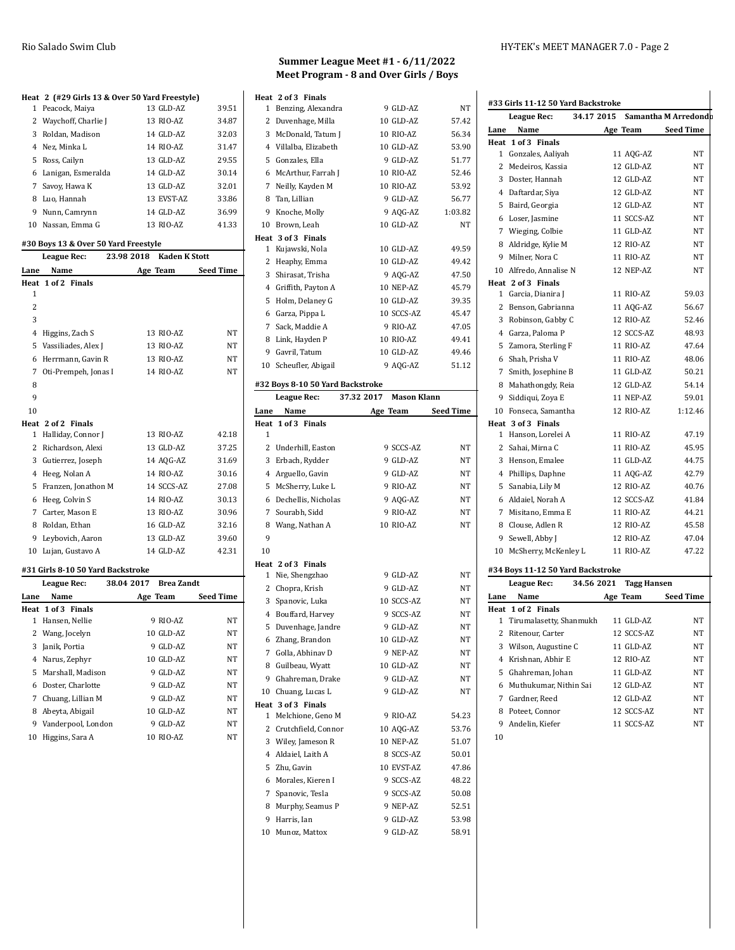### **Heat 2 (#29 Girls 13 & Over 50 Yard Freestyle)**

| 1 Peacock, Maiya      | 13 GLD-AZ  | 39.51 |
|-----------------------|------------|-------|
| 2 Waychoff, Charlie J | 13 RIO-AZ  | 34.87 |
| 3 Roldan, Madison     | 14 GLD-AZ  | 32.03 |
| 4 Nez, Minka L        | 14 RIO-AZ  | 31.47 |
| 5 Ross, Cailyn        | 13 GLD-AZ  | 29.55 |
| 6 Lanigan, Esmeralda  | 14 GLD-AZ  | 30.14 |
| 7 Savoy, Hawa K       | 13 GLD-AZ  | 32.01 |
| 8 Luo, Hannah         | 13 EVST-AZ | 33.86 |
| 9 Nunn, Camrynn       | 14 GLD-AZ  | 36.99 |
| 10 Nassan, Emma G     | 13 RIO-AZ  | 41.33 |

#### **#30 Boys 13 & Over 50 Yard Freestyle**

|                | League Rec:                       | 23.98 2018 | <b>Kaden K Stott</b> |                  |
|----------------|-----------------------------------|------------|----------------------|------------------|
| Lane           | Name                              |            | Age Team             | <b>Seed Time</b> |
|                | Heat 1 of 2 Finals                |            |                      |                  |
| 1              |                                   |            |                      |                  |
| 2              |                                   |            |                      |                  |
| 3              |                                   |            |                      |                  |
| $\overline{4}$ | Higgins, Zach S                   |            | 13 RIO-AZ            | NT               |
| 5              | Vassiliades, Alex J               |            | 13 RIO-AZ            | NT               |
| 6              | Herrmann, Gavin R                 |            | 13 RIO-AZ            | NT               |
| 7              | Oti-Prempeh, Jonas I              |            | 14 RIO-AZ            | NT               |
| 8              |                                   |            |                      |                  |
| 9              |                                   |            |                      |                  |
| 10             |                                   |            |                      |                  |
|                | Heat 2 of 2 Finals                |            |                      |                  |
| 1              | Halliday, Connor J                |            | 13 RIO-AZ            | 42.18            |
| 2              | Richardson, Alexi                 |            | 13 GLD-AZ            | 37.25            |
| 3              | Gutierrez, Joseph                 |            | 14 AQG-AZ            | 31.69            |
| 4              | Heeg, Nolan A                     |            | 14 RIO-AZ            | 30.16            |
| 5              | Franzen, Jonathon M               |            | 14 SCCS-AZ           | 27.08            |
| 6              | Heeg, Colvin S                    |            | 14 RIO-AZ            | 30.13            |
| 7              | Carter, Mason E                   |            | 13 RIO-AZ            | 30.96            |
| 8              | Roldan, Ethan                     |            | 16 GLD-AZ            | 32.16            |
| 9              | Leybovich, Aaron                  |            | 13 GLD-AZ            | 39.60            |
| 10             | Lujan, Gustavo A                  |            | 14 GLD-AZ            | 42.31            |
|                | #31 Girls 8-10 50 Yard Backstroke |            |                      |                  |

|      | League Rec:         | 38.04 2017 Brea Zandt |           |                  |
|------|---------------------|-----------------------|-----------|------------------|
| Lane | Name                |                       | Age Team  | <b>Seed Time</b> |
|      | Heat 1 of 3 Finals  |                       |           |                  |
| 1    | Hansen, Nellie      |                       | 9 RIO-AZ  | NT               |
|      | 2 Wang, Jocelyn     |                       | 10 GLD-AZ | NT               |
| 3    | Janik, Portia       |                       | 9 GLD-AZ  | NT               |
|      | 4 Narus, Zephyr     |                       | 10 GLD-AZ | NT               |
|      | 5 Marshall, Madison |                       | 9 GLD-AZ  | NT               |
|      | 6 Doster. Charlotte |                       | 9 GLD-AZ  | NT               |
|      | 7 Chuang, Lillian M |                       | 9 GLD-AZ  | NT               |
| 8    | Abeyta, Abigail     |                       | 10 GLD-AZ | NT               |
| 9    | Vanderpool, London  |                       | 9 GLD-AZ  | NT               |
| 10   | Higgins, Sara A     |                       | 10 RIO-AZ | NT               |
|      |                     |                       |           |                  |

## **Summer League Meet #1 - 6/11/2022 Meet Program - 8 and Over Girls / Boys**

|      | Heat 2 of 3 Finals                   |            |                         |                |
|------|--------------------------------------|------------|-------------------------|----------------|
| 1    | Benzing, Alexandra                   |            | 9 GLD-AZ                | NT             |
| 2    | Duvenhage, Milla                     |            | 10 GLD-AZ               | 57.42          |
|      | 3 McDonald, Tatum J                  |            | 10 RIO-AZ               | 56.34          |
|      | 4 Villalba, Elizabeth                |            | 10 GLD-AZ               | 53.90          |
|      | 5 Gonzales, Ella                     |            | 9 GLD-AZ                | 51.77          |
|      | 6 McArthur, Farrah J                 |            | 10 RIO-AZ               | 52.46          |
|      | 7 Neilly, Kayden M                   |            | 10 RIO-AZ               | 53.92          |
| 8    | Tan, Lillian                         |            | 9 GLD-AZ                | 56.77          |
| 9    | Knoche, Molly                        |            | 9 AQG-AZ                | 1:03.82        |
|      | 10 Brown, Leah                       |            | 10 GLD-AZ               | <b>NT</b>      |
| 1    | Heat 3 of 3 Finals<br>Kujawski, Nola |            | 10 GLD-AZ               | 49.59          |
| 2    | Heaphy, Emma                         |            | 10 GLD-AZ               | 49.42          |
|      | 3 Shirasat, Trisha                   |            | 9 AQG-AZ                | 47.50          |
|      | 4 Griffith, Payton A                 |            | 10 NEP-AZ               | 45.79          |
| 5    | Holm, Delaney G                      |            | 10 GLD-AZ               | 39.35          |
| 6    | Garza, Pippa L                       |            | 10 SCCS-AZ              | 45.47          |
|      | 7 Sack, Maddie A                     |            | 9 RIO-AZ                | 47.05          |
|      | 8 Link, Hayden P                     |            | 10 RIO-AZ               | 49.41          |
|      | 9 Gavril, Tatum                      |            | 10 GLD-AZ               | 49.46          |
|      | 10 Scheufler, Abigail                |            | 9 AQG-AZ                | 51.12          |
|      | #32 Boys 8-10 50 Yard Backstroke     |            |                         |                |
|      | League Rec:                          | 37.32 2017 | <b>Mason Klann</b>      |                |
| Lane | Name                                 |            | Age Team                | Seed Time      |
|      | Heat 1 of 3 Finals                   |            |                         |                |
| 1    |                                      |            |                         |                |
|      | 2 Underhill, Easton                  |            | 9 SCCS-AZ               | NT             |
| 3    | Erbach, Rydder                       |            | 9 GLD-AZ                | NT             |
|      |                                      |            |                         |                |
|      | 4 Arguello, Gavin                    |            | 9 GLD-AZ                | NT             |
| 5    | McSherry, Luke L                     |            | 9 RIO-AZ                | <b>NT</b>      |
| 6    | Dechellis, Nicholas                  |            | 9 AQG-AZ                | NT             |
| 7    | Sourabh, Sidd                        |            | 9 RIO-AZ                | NT             |
|      | 8 Wang, Nathan A                     |            | 10 RIO-AZ               | NT             |
| 9    |                                      |            |                         |                |
| 10   |                                      |            |                         |                |
|      | Heat 2 of 3 Finals                   |            |                         |                |
| 1    | Nie, Shengzhao                       |            | 9 GLD-AZ                | NT             |
| 3    | 2 Chopra, Krish                      |            | 9 GLD-AZ                | NT             |
|      | Spanovic, Luka<br>4 Bouffard, Harvey |            | 10 SCCS-AZ<br>9 SCCS-AZ | ΝT<br>NT       |
| 5    |                                      |            | 9 GLD-AZ                | ΝT             |
| 6    | Duvenhage, Jandre<br>Zhang, Brandon  |            | 10 GLD-AZ               | NT             |
|      | 7 Golla, Abhinav D                   |            | 9 NEP-AZ                | NΤ             |
| 8    | Guilbeau, Wyatt                      |            | 10 GLD-AZ               | NT             |
|      | 9 Ghahreman, Drake                   |            | 9 GLD-AZ                | NΤ             |
|      | 10 Chuang, Lucas L                   |            | 9 GLD-AZ                | NT             |
|      | Heat 3 of 3 Finals                   |            |                         |                |
| 1    | Melchione, Geno M                    |            | 9 RIO-AZ                | 54.23          |
| 2    | Crutchfield, Connor                  |            | 10 AQG-AZ               | 53.76          |
| 3    | Wiley, Jameson R                     |            | 10 NEP-AZ               | 51.07          |
| 4    | Aldaiel, Laith A                     |            | 8 SCCS-AZ               | 50.01          |
| 5    | Zhu, Gavin                           |            | 10 EVST-AZ              | 47.86          |
| 6    | Morales, Kieren I                    |            | 9 SCCS-AZ               | 48.22          |
| 7    | Spanovic, Tesla                      |            | 9 SCCS-AZ               | 50.08          |
| 8    | Murphy, Seamus P                     |            | 9 NEP-AZ                | 52.51          |
| 9    | Harris, Ian<br>10 Munoz, Mattox      |            | 9 GLD-AZ<br>9 GLD-AZ    | 53.98<br>58.91 |

# **#33 Girls 11-12 50 Yard Backstroke**

| League Rec:                       | 34.17 2015             |            | Samantha M Arredondo |
|-----------------------------------|------------------------|------------|----------------------|
| Lane<br>Name                      |                        | Age Team   | <b>Seed Time</b>     |
| Heat 1 of 3 Finals                |                        |            |                      |
| 1 Gonzales, Aaliyah               |                        | 11 AQG-AZ  | NΤ                   |
| 2 Medeiros, Kassia                |                        | 12 GLD-AZ  | NΤ                   |
| 3<br>Doster, Hannah               |                        | 12 GLD-AZ  | NΤ                   |
| 4 Daftardar, Siya                 |                        | 12 GLD-AZ  | NΤ                   |
| Baird, Georgia<br>5               |                        | 12 GLD-AZ  | NΤ                   |
| 6 Loser, Jasmine                  |                        | 11 SCCS-AZ | NΤ                   |
| 7 Wieging, Colbie                 |                        | 11 GLD-AZ  | NΤ                   |
| 8 Aldridge, Kylie M               |                        | 12 RIO-AZ  | NT                   |
| 9 Milner, Nora C                  |                        | 11 RIO-AZ  | NΤ                   |
| 10 Alfredo, Annalise N            |                        | 12 NEP-AZ  | NΤ                   |
| Heat 2 of 3 Finals                |                        |            |                      |
| Garcia, Dianira J<br>1            |                        | 11 RIO-AZ  | 59.03                |
| 2 Benson, Gabrianna               |                        | 11 AQG-AZ  | 56.67                |
| 3<br>Robinson, Gabby C            |                        | 12 RIO-AZ  | 52.46                |
| 4 Garza, Paloma P                 |                        | 12 SCCS-AZ | 48.93                |
| 5 Zamora, Sterling F              |                        | 11 RIO-AZ  | 47.64                |
| 6 Shah, Prisha V                  |                        | 11 RIO-AZ  | 48.06                |
| 7 Smith, Josephine B              |                        | 11 GLD-AZ  | 50.21                |
| 8<br>Mahathongdy, Reia            |                        | 12 GLD-AZ  | 54.14                |
| 9<br>Siddiqui, Zoya E             |                        | 11 NEP-AZ  | 59.01                |
| 10 Fonseca, Samantha              |                        | 12 RIO-AZ  | 1:12.46              |
| Heat 3 of 3 Finals                |                        |            |                      |
| Hanson, Lorelei A<br>1            |                        | 11 RIO-AZ  | 47.19                |
| 2 Sahai, Mirna C                  |                        | 11 RIO-AZ  | 45.95                |
| 3 Henson, Emalee                  |                        | 11 GLD-AZ  | 44.75                |
| 4 Phillips, Daphne                |                        | 11 AQG-AZ  | 42.79                |
| 5<br>Sanabia, Lily M              |                        | 12 RIO-AZ  | 40.76                |
| Aldaiel, Norah A<br>6             |                        | 12 SCCS-AZ | 41.84                |
| 7<br>Misitano, Emma E             |                        | 11 RIO-AZ  | 44.21                |
| Clouse, Adlen R<br>8              |                        | 12 RIO-AZ  | 45.58                |
| Sewell, Abby J<br>9               |                        | 12 RIO-AZ  | 47.04                |
| 10 McSherry, McKenley L           |                        | 11 RIO-AZ  | 47.22                |
| #34 Boys 11-12 50 Yard Backstroke |                        |            |                      |
| League Rec:                       | 34.56 2021 Tagg Hansen |            |                      |
| Lane<br>Name                      |                        | Age Team   | Seed Time            |
| Heat 1 of 2 Finals                |                        |            |                      |
| 1 Tirumalasetty, Shanmukh         |                        | 11 GLD-AZ  | NΤ                   |
| 2<br>Ritenour, Carter             |                        | 12 SCCS-AZ | NΤ                   |
| 3 Wilson, Augustine C             |                        | 11 GLD-AZ  | NT                   |
| 4 Krishnan, Abhir E               |                        | 12 RIO-AZ  | NΤ                   |
| 5<br>Ghahreman, Johan             |                        | 11 GLD-AZ  | NΤ                   |
| 6<br>Muthukumar, Nithin Sai       |                        | 12 GLD-AZ  | NΤ                   |
| Gardner, Reed<br>7                |                        | 12 GLD-AZ  | NΤ                   |
| 8 Poteet, Connor                  |                        | 12 SCCS-AZ | NΤ                   |
| 9<br>Andelin, Kiefer              |                        | 11 SCCS-AZ | NΤ                   |
| 10                                |                        |            |                      |
|                                   |                        |            |                      |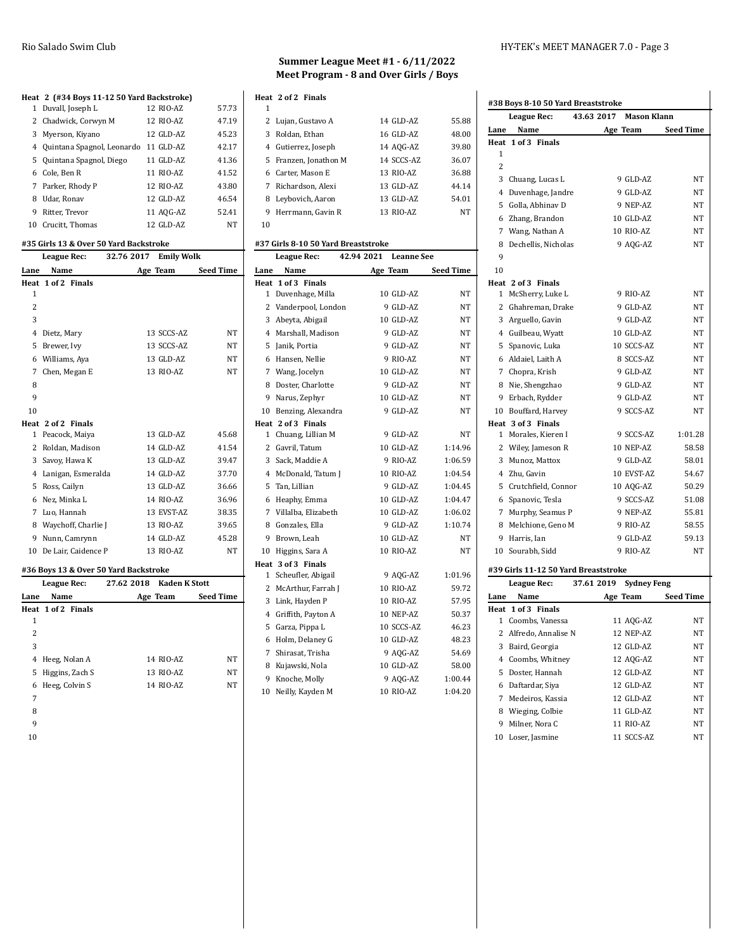#### **Heat 2 (#34 Boys 11-12 50 Yard Backstroke)**

|   | 1 Duvall, Joseph L           | 12 RIO-AZ | 57.73 |
|---|------------------------------|-----------|-------|
|   | 2 Chadwick, Corwyn M         | 12 RIO-AZ | 47.19 |
|   | 3 Myerson, Kiyano            | 12 GLD-AZ | 45.23 |
|   | 4 Quintana Spagnol, Leonardo | 11 GLD-AZ | 42.17 |
|   | 5 Quintana Spagnol, Diego    | 11 GLD-AZ | 41.36 |
|   | 6 Cole, Ben R                | 11 RIO-AZ | 41.52 |
|   | 7 Parker, Rhody P            | 12 RIO-AZ | 43.80 |
| 8 | Udar, Ronav                  | 12 GLD-AZ | 46.54 |
| 9 | Ritter, Trevor               | 11 AQG-AZ | 52.41 |
|   | 10 Crucitt, Thomas           | 12 GLD-AZ | NT    |

#### **#35 Girls 13 & Over 50 Yard Backstroke**

|                | <b>League Rec:</b>  | 32.76 2017 | <b>Emily Wolk</b> |                  |
|----------------|---------------------|------------|-------------------|------------------|
| Lane           | Name                |            | Age Team          | <b>Seed Time</b> |
| Heat           | 1 of 2 Finals       |            |                   |                  |
| 1              |                     |            |                   |                  |
| $\overline{c}$ |                     |            |                   |                  |
| 3              |                     |            |                   |                  |
| 4              | Dietz, Mary         |            | 13 SCCS-AZ        | <b>NT</b>        |
| 5              | Brewer, Ivy         |            | 13 SCCS-AZ        | <b>NT</b>        |
| 6              | Williams, Aya       |            | 13 GLD-AZ         | NT               |
| 7              | Chen, Megan E       |            | 13 RIO-AZ         | <b>NT</b>        |
| 8              |                     |            |                   |                  |
| 9              |                     |            |                   |                  |
| 10             |                     |            |                   |                  |
| Heat           | 2 of 2 Finals       |            |                   |                  |
| 1              | Peacock, Maiya      |            | 13 GLD-AZ         | 45.68            |
| 2              | Roldan, Madison     |            | 14 GLD-AZ         | 41.54            |
| 3              | Savoy, Hawa K       |            | 13 GLD-AZ         | 39.47            |
| 4              | Lanigan, Esmeralda  |            | 14 GLD-AZ         | 37.70            |
| 5              | Ross, Cailyn        |            | 13 GLD-AZ         | 36.66            |
| 6              | Nez, Minka L        |            | 14 RIO-AZ         | 36.96            |
| 7              | Luo, Hannah         |            | 13 EVST-AZ        | 38.35            |
| 8              | Waychoff, Charlie J |            | 13 RIO-AZ         | 39.65            |
| 9              | Nunn, Camrynn       |            | 14 GLD-AZ         | 45.28            |
| 10             | De Lair, Caidence P |            | 13 RIO-AZ         | <b>NT</b>        |
|                |                     |            |                   |                  |

### **#36 Boys 13 & Over 50 Yard Backstroke**

|      | League Rec:        | 27.62 2018 Kaden K Stott |           |                  |
|------|--------------------|--------------------------|-----------|------------------|
| Lane | Name               |                          | Age Team  | <b>Seed Time</b> |
|      | Heat 1 of 2 Finals |                          |           |                  |
| 1    |                    |                          |           |                  |
| 2    |                    |                          |           |                  |
| 3    |                    |                          |           |                  |
| 4    | Heeg, Nolan A      |                          | 14 RIO-AZ | NT               |
|      | 5 Higgins, Zach S  |                          | 13 RIO-AZ | NT               |
|      | 6 Heeg, Colvin S   |                          | 14 RIO-AZ | NT               |
| 7    |                    |                          |           |                  |
| 8    |                    |                          |           |                  |
| 9    |                    |                          |           |                  |

### **Summer League Meet #1 - 6/11/2022 Meet Program - 8 and Over Girls / Boys**

|    | Heat 2 of 2 Finals    |            |       |
|----|-----------------------|------------|-------|
| 1  |                       |            |       |
|    | 2 Lujan, Gustavo A    | 14 GLD-AZ  | 55.88 |
|    | 3 Roldan, Ethan       | 16 GLD-AZ  | 48.00 |
|    | 4 Gutierrez, Joseph   | 14 AQG-AZ  | 39.80 |
|    | 5 Franzen, Jonathon M | 14 SCCS-AZ | 36.07 |
|    | 6 Carter. Mason E     | 13 RIO-AZ  | 36.88 |
|    | 7 Richardson, Alexi   | 13 GLD-AZ  | 44.14 |
| 8  | Leybovich, Aaron      | 13 GLD-AZ  | 54.01 |
| 9  | Herrmann, Gavin R     | 13 RIO-AZ  | NT    |
| 10 |                       |            |       |

### **#37 Girls 8-10 50 Yard Breaststroke**

|                | <b>League Rec:</b>    | 42.94 2021 | <b>Leanne See</b> |                  |
|----------------|-----------------------|------------|-------------------|------------------|
| Lane           | Name                  |            | Age Team          | <b>Seed Time</b> |
| Heat           | 1 of 3 Finals         |            |                   |                  |
| 1              | Duvenhage, Milla      |            | 10 GLD-AZ         | NΤ               |
| $\overline{2}$ | Vanderpool, London    |            | 9 GLD-AZ          | NT               |
| 3              | Abeyta, Abigail       |            | 10 GLD-AZ         | NT               |
| 4              | Marshall, Madison     |            | 9 GLD-AZ          | NT               |
| 5              | Janik, Portia         |            | 9 GLD-AZ          | NT               |
| 6              | Hansen, Nellie        |            | 9 RIO-AZ          | NT               |
|                | 7 Wang, Jocelyn       |            | 10 GLD-AZ         | NT               |
| 8              | Doster, Charlotte     |            | 9 GLD-AZ          | NT               |
| 9              | Narus, Zephyr         |            | 10 GLD-AZ         | NT               |
| 10             | Benzing, Alexandra    |            | 9 GLD-AZ          | NT               |
|                | Heat 2 of 3 Finals    |            |                   |                  |
| $\mathbf{1}$   | Chuang, Lillian M     |            | 9 GLD-AZ          | NT               |
| $\overline{2}$ | Gavril, Tatum         |            | 10 GLD-AZ         | 1:14.96          |
| 3              | Sack, Maddie A        |            | 9 RIO-AZ          | 1:06.59          |
| 4              | McDonald, Tatum J     |            | 10 RIO-AZ         | 1:04.54          |
| 5              | Tan, Lillian          |            | 9 GLD-AZ          | 1:04.45          |
| 6              | Heaphy, Emma          |            | 10 GLD-AZ         | 1:04.47          |
|                | 7 Villalba, Elizabeth |            | 10 GLD-AZ         | 1:06.02          |
| 8              | Gonzales, Ella        |            | 9 GLD-AZ          | 1:10.74          |
| 9              | Brown, Leah           |            | 10 GLD-AZ         | NT               |
| 10             | Higgins, Sara A       |            | 10 RIO-AZ         | NT               |
|                | Heat 3 of 3 Finals    |            |                   |                  |
| 1              | Scheufler, Abigail    |            | 9 AQG-AZ          | 1:01.96          |
| 2              | McArthur, Farrah J    |            | 10 RIO-AZ         | 59.72            |
| 3              | Link, Hayden P        |            | 10 RIO-AZ         | 57.95            |
| 4              | Griffith, Payton A    |            | 10 NEP-AZ         | 50.37            |
| 5              | Garza, Pippa L        |            | 10 SCCS-AZ        | 46.23            |
| 6              | Holm, Delaney G       |            | 10 GLD-AZ         | 48.23            |
| 7              | Shirasat, Trisha      |            | 9 AQG-AZ          | 54.69            |
| 8              | Kujawski, Nola        |            | 10 GLD-AZ         | 58.00            |
| 9              | Knoche, Molly         |            | 9 AQG-AZ          | 1:00.44          |
| 10             | Neilly, Kayden M      |            | 10 RIO-AZ         | 1:04.20          |

### Rio Salado Swim Club **HY-TEK's MEET MANAGER 7.0** - Page 3

 $\mathbf{I}$ 

|                | #38 Boys 8-10 50 Yard Breaststroke   |                        |                    |                  |
|----------------|--------------------------------------|------------------------|--------------------|------------------|
|                | <b>League Rec:</b>                   | 43.63 2017 Mason Klann |                    |                  |
| Lane           | Name                                 |                        | Age Team           | <b>Seed Time</b> |
| 1              | Heat 1 of 3 Finals                   |                        |                    |                  |
| $\overline{2}$ |                                      |                        |                    |                  |
|                | 3 Chuang, Lucas L                    |                        | 9 GLD-AZ           | NT               |
|                | 4 Duvenhage, Jandre                  |                        | 9 GLD-AZ           | NT               |
|                | 5 Golla, Abhinav D                   |                        | 9 NEP-AZ           | NT               |
|                | 6 Zhang, Brandon                     |                        | 10 GLD-AZ          | NT               |
|                | 7 Wang, Nathan A                     |                        | 10 RIO-AZ          | NΤ               |
|                | 8 Dechellis, Nicholas                |                        | 9 AQG-AZ           | NT               |
| 9              |                                      |                        |                    |                  |
| 10             |                                      |                        |                    |                  |
|                | Heat 2 of 3 Finals                   |                        |                    |                  |
|                | 1 McSherry, Luke L                   |                        | 9 RIO-AZ           | NT               |
|                | 2 Ghahreman, Drake                   |                        | 9 GLD-AZ           | NT               |
|                | 3 Arguello, Gavin                    |                        | 9 GLD-AZ           | NΤ               |
|                | 4 Guilbeau, Wyatt                    |                        | 10 GLD-AZ          | NΤ               |
|                | 5 Spanovic, Luka                     |                        | 10 SCCS-AZ         | NΤ               |
|                | 6 Aldaiel, Laith A                   |                        | 8 SCCS-AZ          | NΤ               |
|                | 7 Chopra, Krish                      |                        | 9 GLD-AZ           | NΤ               |
|                | 8 Nie, Shengzhao                     |                        | 9 GLD-AZ           | NΤ               |
|                | 9 Erbach, Rydder                     |                        | 9 GLD-AZ           | NT               |
|                | 10 Bouffard, Harvey                  |                        | 9 SCCS-AZ          | NT               |
|                | Heat 3 of 3 Finals                   |                        |                    |                  |
|                | 1 Morales, Kieren I                  |                        | 9 SCCS-AZ          | 1:01.28          |
|                | 2 Wiley, Jameson R                   |                        | 10 NEP-AZ          | 58.58            |
|                | 3 Munoz, Mattox                      |                        | 9 GLD-AZ           | 58.01            |
|                | 4 Zhu, Gavin                         |                        | 10 EVST-AZ         | 54.67            |
|                | 5 Crutchfield, Connor                |                        | 10 AQG-AZ          | 50.29            |
|                | 6 Spanovic, Tesla                    |                        | 9 SCCS-AZ          | 51.08            |
|                | 7 Murphy, Seamus P                   |                        | 9 NEP-AZ           | 55.81            |
|                | 8 Melchione, Geno M                  |                        | 9 RIO-AZ           | 58.55            |
|                | 9 Harris, Ian                        |                        | 9 GLD-AZ           | 59.13            |
|                | 10 Sourabh, Sidd                     |                        | 9 RIO-AZ           | <b>NT</b>        |
|                | #39 Girls 11-12 50 Yard Breaststroke |                        |                    |                  |
|                | League Rec:                          | 37.61 2019             | <b>Sydney Feng</b> |                  |
| Lane           | Name                                 | Age Team               |                    | <b>Seed Time</b> |
|                | Heat 1 of 3 Finals                   |                        |                    |                  |
|                | 1 Coombs, Vanessa                    |                        | 11 AQG-AZ          | NΤ               |
|                | 2 Alfredo, Annalise N                |                        | 12 NEP-AZ          | NΤ               |
|                | 3 Baird, Georgia                     |                        | 12 GLD-AZ          | NΤ               |
|                | 4 Coombs, Whitney                    |                        | 12 AQG-AZ          | NT               |
| 5              | Doster, Hannah                       |                        | 12 GLD-AZ          | NT               |

 Daftardar, Siya 12 GLD-AZ NT Medeiros, Kassia 12 GLD-AZ NT Wieging, Colbie 11 GLD-AZ NT 9 Milner, Nora C 11 RIO-AZ NT Loser, Jasmine 11 SCCS-AZ NT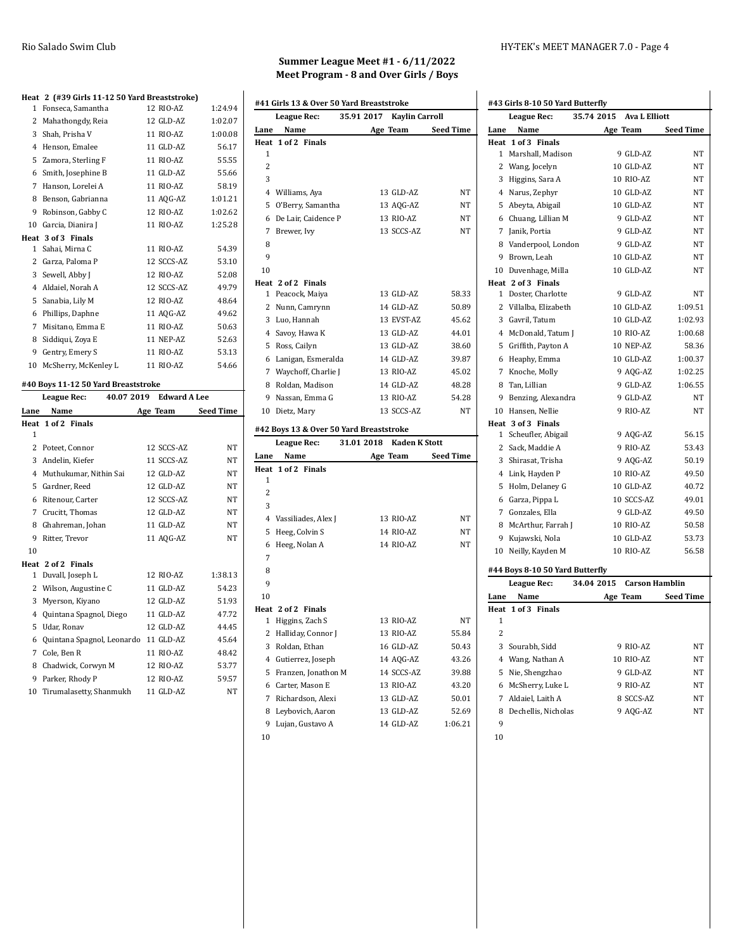## **Heat 2 (#39 Girls 11-12 50 Yard Breaststroke)**

|              | League Rec:                                   | 40.07 2019 Edward A Lee |                |
|--------------|-----------------------------------------------|-------------------------|----------------|
|              | #40 Boys 11-12 50 Yard Breaststroke           |                         |                |
|              | 10 McSherry, McKenley L                       | 11 RIO-AZ               | 54.66          |
|              | 9 Gentry, Emery S                             | 11 RIO-AZ               | 53.13          |
| 8            | Siddiqui, Zoya E                              | 11 NEP-AZ               | 52.63          |
| 7            | Misitano, Emma E                              | 11 RIO-AZ               | 50.63          |
|              | 6 Phillips, Daphne                            | 11 AQG-AZ               | 49.62          |
|              | 5 Sanabia, Lily M                             | 12 RIO-AZ               | 48.64          |
|              | 4 Aldaiel, Norah A                            | 12 SCCS-AZ              | 49.79          |
|              | 3 Sewell, Abby J                              | 12 RIO-AZ               | 52.08          |
|              | 2 Garza, Paloma P                             | 12 SCCS-AZ              | 53.10          |
| $\mathbf{1}$ | Sahai, Mirna C                                | 11 RIO-AZ               | 54.39          |
|              | Heat 3 of 3 Finals                            |                         |                |
| 10           | Garcia, Dianira J                             | 11 RIO-AZ               | 1:25.28        |
| 9            | Robinson, Gabby C                             | 12 RIO-AZ               | 1:02.62        |
|              | Hanson, Lorelei A<br>8 Benson, Gabrianna      | 11 AQG-AZ               | 1:01.21        |
| 6<br>7       | Smith, Josephine B                            | 11 GLD-AZ<br>11 RIO-AZ  | 55.66<br>58.19 |
|              | 5 Zamora, Sterling F                          | 11 RIO-AZ               | 55.55          |
| 4            | Henson, Emalee                                | 11 GLD-AZ               | 56.17          |
|              | 3 Shah, Prisha V                              | 11 RIO-AZ               | 1:00.08        |
| 2            | Mahathongdy, Reia                             | 12 GLD-AZ               | 1:02.07        |
| $\mathbf{1}$ | Fonseca, Samantha                             | 12 RIO-AZ               | 1:24.94        |
|              | Heat 2 (#39 Girls 11-12 50 raid breaststroke) |                         |                |

### **Lane Name Age Team Seed Time Heat 1 of 2 Finals** Poteet, Connor 12 SCCS-AZ NT 3 Andelin, Kiefer 11 SCCS-AZ NT Muthukumar, Nithin Sai 12 GLD-AZ NT Gardner, Reed 12 GLD-AZ NT Ritenour, Carter 12 SCCS-AZ NT Crucitt, Thomas 12 GLD-AZ NT 8 Ghahreman, Johan 11 GLD-AZ NT 9 Ritter, Trevor 11 AQG-AZ NT **Heat 2 of 2 Finals** Duvall, Joseph L 12 RIO-AZ 1:38.13 2 Wilson, Augustine C 11 GLD-AZ 54.23 Myerson, Kiyano 12 GLD-AZ 51.93 Quintana Spagnol, Diego 11 GLD-AZ 47.72 Udar, Ronav 12 GLD-AZ 44.45 Quintana Spagnol, Leonardo 11 GLD-AZ 45.64 7 Cole, Ben R 11 RIO-AZ 48.42 8 Chadwick, Corwyn M 12 RIO-AZ 53.77 Parker, Rhody P 12 RIO-AZ 59.57 Tirumalasetty, Shanmukh 11 GLD-AZ NT

## **Summer League Meet #1 - 6/11/2022 Meet Program - 8 and Over Girls / Boys**

|                | League Rec:         | 35.91 2017 | <b>Kaylin Carroll</b> |                  |
|----------------|---------------------|------------|-----------------------|------------------|
| Lane           | Name                |            | Age Team              | <b>Seed Time</b> |
|                | Heat 1 of 2 Finals  |            |                       |                  |
| 1              |                     |            |                       |                  |
| $\overline{c}$ |                     |            |                       |                  |
| 3              |                     |            |                       |                  |
| $\overline{4}$ | Williams, Aya       |            | 13 GLD-AZ             | NT               |
| 5              | O'Berry, Samantha   |            | 13 AQG-AZ             | <b>NT</b>        |
| 6              | De Lair, Caidence P |            | 13 RIO-AZ             | <b>NT</b>        |
| 7              | Brewer, Ivy         |            | 13 SCCS-AZ            | <b>NT</b>        |
| 8              |                     |            |                       |                  |
| 9              |                     |            |                       |                  |
| 10             |                     |            |                       |                  |
|                | Heat 2 of 2 Finals  |            |                       |                  |
| $\mathbf{1}$   | Peacock, Maiya      |            | 13 GLD-AZ             | 58.33            |
| 2              | Nunn, Camrynn       |            | 14 GLD-AZ             | 50.89            |
| 3              | Luo, Hannah         |            | 13 EVST-AZ            | 45.62            |
|                | 4 Savoy, Hawa K     |            | 13 GLD-AZ             | 44.01            |
| 5              | Ross, Cailyn        |            | 13 GLD-AZ             | 38.60            |
| 6              | Lanigan, Esmeralda  |            | 14 GLD-AZ             | 39.87            |
| 7              | Waychoff, Charlie J |            | 13 RIO-AZ             | 45.02            |
| 8              | Roldan, Madison     |            | 14 GLD-AZ             | 48.28            |
| 9              | Nassan, Emma G      |            | 13 RIO-AZ             | 54.28            |
| 10             | Dietz, Mary         |            | 13 SCCS-AZ            | <b>NT</b>        |

|                | League Rec:         | 31.01 2018 | <b>Kaden K Stott</b> |                  |
|----------------|---------------------|------------|----------------------|------------------|
| Lane           | Name                |            | Age Team             | <b>Seed Time</b> |
| Heat           | 1 of 2 Finals       |            |                      |                  |
| 1              |                     |            |                      |                  |
| 2              |                     |            |                      |                  |
| 3              |                     |            |                      |                  |
| $\overline{4}$ | Vassiliades, Alex J |            | 13 RIO-AZ            | <b>NT</b>        |
| 5              | Heeg, Colvin S      |            | 14 RIO-AZ            | <b>NT</b>        |
| 6              | Heeg, Nolan A       |            | 14 RIO-AZ            | <b>NT</b>        |
| 7              |                     |            |                      |                  |
| 8              |                     |            |                      |                  |
| 9              |                     |            |                      |                  |
| 10             |                     |            |                      |                  |
|                | Heat 2 of 2 Finals  |            |                      |                  |
| 1              | Higgins, Zach S     |            | 13 RIO-AZ            | NT               |
| 2              | Halliday, Connor J  |            | 13 RIO-AZ            | 55.84            |
| 3              | Roldan, Ethan       |            | 16 GLD-AZ            | 50.43            |
| 4              | Gutierrez, Joseph   |            | 14 AQG-AZ            | 43.26            |
| 5              | Franzen, Jonathon M |            | 14 SCCS-AZ           | 39.88            |
| 6              | Carter, Mason E     |            | 13 RIO-AZ            | 43.20            |
| 7              | Richardson, Alexi   |            | 13 GLD-AZ            | 50.01            |
| 8              | Leybovich, Aaron    |            | 13 GLD-AZ            | 52.69            |
| 9              | Lujan, Gustavo A    |            | 14 GLD-AZ            | 1:06.21          |
| 10             |                     |            |                      |                  |

### Rio Salado Swim Club HY-TEK's MEET MANAGER 7.0 - Page 4

|  |  |  | #43 Girls 8-10 50 Yard Butterfly |  |
|--|--|--|----------------------------------|--|
|  |  |  |                                  |  |

|                | League Rec:                     | 35.74 2015 | <b>Ava L Elliott</b>  |                  |
|----------------|---------------------------------|------------|-----------------------|------------------|
| Lane           | Name                            |            | Age Team              | <b>Seed Time</b> |
|                | Heat 1 of 3 Finals              |            |                       |                  |
| 1              | Marshall, Madison               |            | 9 GLD-AZ              | NΤ               |
| 2              | Wang, Jocelyn                   |            | 10 GLD-AZ             | NΤ               |
| 3              | Higgins, Sara A                 |            | 10 RIO-AZ             | NT               |
| 4              | Narus, Zephyr                   |            | 10 GLD-AZ             | NΤ               |
| 5              | Abeyta, Abigail                 |            | 10 GLD-AZ             | NΤ               |
| 6              | Chuang, Lillian M               |            | 9 GLD-AZ              | NΤ               |
| 7              | Janik, Portia                   |            | 9 GLD-AZ              | NΤ               |
| 8              | Vanderpool, London              |            | 9 GLD-AZ              | NΤ               |
| 9              | Brown, Leah                     |            | 10 GLD-AZ             | NT               |
|                | 10 Duvenhage, Milla             |            | 10 GLD-AZ             | NΤ               |
|                | Heat 2 of 3 Finals              |            |                       |                  |
| 1              | Doster, Charlotte               |            | 9 GLD-AZ              | NΤ               |
| 2              | Villalba, Elizabeth             |            | 10 GLD-AZ             | 1:09.51          |
|                | 3 Gavril, Tatum                 |            | 10 GLD-AZ             | 1:02.93          |
|                | 4 McDonald, Tatum J             |            | 10 RIO-AZ             | 1:00.68          |
| 5              | Griffith, Payton A              |            | 10 NEP-AZ             | 58.36            |
|                | 6 Heaphy, Emma                  |            | 10 GLD-AZ             | 1:00.37          |
| 7              | Knoche, Molly                   |            | 9 AQG-AZ              | 1:02.25          |
| 8              | Tan, Lillian                    |            | 9 GLD-AZ              | 1:06.55          |
| 9              | Benzing, Alexandra              |            | 9 GLD-AZ              | NΤ               |
|                | 10 Hansen, Nellie               |            | 9 RIO-AZ              | NΤ               |
|                | Heat 3 of 3 Finals              |            |                       |                  |
| 1              | Scheufler, Abigail              |            | 9 AQG-AZ              | 56.15            |
| 2              | Sack, Maddie A                  |            | 9 RIO-AZ              | 53.43            |
|                | 3 Shirasat, Trisha              |            | 9 AQG-AZ              | 50.19            |
| 4              | Link, Hayden P                  |            | 10 RIO-AZ             | 49.50            |
| 5              | Holm, Delaney G                 |            | 10 GLD-AZ             | 40.72            |
|                | 6 Garza, Pippa L                |            | 10 SCCS-AZ            | 49.01            |
|                | 7 Gonzales, Ella                |            | 9 GLD-AZ              | 49.50            |
| 8              | McArthur, Farrah J              |            | 10 RIO-AZ             | 50.58            |
| 9              | Kujawski, Nola                  |            | 10 GLD-AZ             | 53.73            |
|                | 10 Neilly, Kayden M             |            | 10 RIO-AZ             | 56.58            |
|                | #44 Boys 8-10 50 Yard Butterfly |            |                       |                  |
|                | League Rec:                     | 34.04 2015 | <b>Carson Hamblin</b> |                  |
| Lane           | Name                            |            | Age Team              | <b>Seed Time</b> |
|                | Heat 1 of 3 Finals              |            |                       |                  |
| 1              |                                 |            |                       |                  |
| $\overline{2}$ |                                 |            |                       |                  |
| 3              | Sourabh, Sidd                   |            | 9 RIO-AZ              | NΤ               |
|                | 4 Wang, Nathan A                |            | 10 RIO-AZ             | NΤ               |
| 5              | Nie, Shengzhao                  |            | 9 GLD-AZ              | NΤ               |
| 6              | McSherry, Luke L                |            | 9 RIO-AZ              | NΤ               |
| 7              | Aldaiel, Laith A                |            | 8 SCCS-AZ             | NΤ               |
| 8              | Dechellis, Nicholas             |            | 9 AQG-AZ              | NΤ               |
| 9              |                                 |            |                       |                  |
| 10             |                                 |            |                       |                  |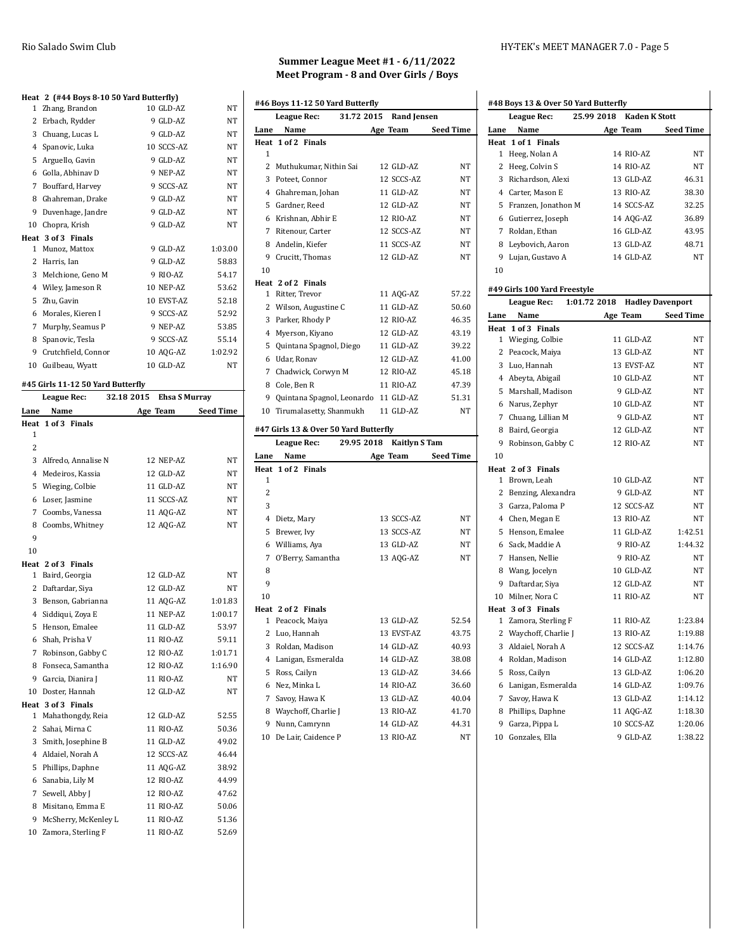|              | Heat 2 (#44 Boys 8-10 50 Yard Butterfly) |            |           |
|--------------|------------------------------------------|------------|-----------|
| $\mathbf{1}$ | Zhang, Brandon                           | 10 GLD-AZ  | <b>NT</b> |
| 2            | Erbach, Rydder                           | 9 GLD-AZ   | <b>NT</b> |
| 3            | Chuang, Lucas L                          | 9 GLD-AZ   | <b>NT</b> |
| 4            | Spanovic, Luka                           | 10 SCCS-AZ | <b>NT</b> |
| 5            | Arguello, Gavin                          | 9 GLD-AZ   | <b>NT</b> |
| 6            | Golla, Abhinav D                         | 9 NEP-AZ   | <b>NT</b> |
| 7            | Bouffard, Harvey                         | 9 SCCS-AZ  | <b>NT</b> |
| 8            | Ghahreman, Drake                         | 9 GLD-AZ   | <b>NT</b> |
| 9            | Duvenhage, Jandre                        | 9 GLD-AZ   | NT        |
| 10           | Chopra, Krish                            | 9 GLD-AZ   | <b>NT</b> |
|              | Heat 3 of 3 Finals                       |            |           |
| 1            | Munoz, Mattox                            | 9 GLD-AZ   | 1:03.00   |
| 2            | Harris, Ian                              | 9 GLD-AZ   | 58.83     |
| 3            | Melchione, Geno M                        | 9 RIO-AZ   | 54.17     |
| 4            | Wiley, Jameson R                         | 10 NEP-AZ  | 53.62     |
| 5            | Zhu, Gavin                               | 10 EVST-AZ | 52.18     |
| 6            | Morales, Kieren I                        | 9 SCCS-AZ  | 52.92     |
| 7            | Murphy, Seamus P                         | 9 NEP-AZ   | 53.85     |
| 8            | Spanovic, Tesla                          | 9 SCCS-AZ  | 55.14     |
| 9            | Crutchfield, Connor                      | 10 AQG-AZ  | 1:02.92   |
| 10           | Guilbeau, Wyatt                          | 10 GLD-AZ  | NT        |
|              |                                          |            |           |

### **#45 Girls 11-12 50 Yard Butterfly League Rec: 32.18 2015 Ehsa S Murray**

| Lane           | Name                   | Age Team   | <b>Seed Time</b> |
|----------------|------------------------|------------|------------------|
| Heat           | 1 of 3 Finals          |            |                  |
| 1              |                        |            |                  |
| $\overline{c}$ |                        |            |                  |
|                | 3 Alfredo, Annalise N  | 12 NEP-AZ  | <b>NT</b>        |
|                | 4 Medeiros, Kassia     | 12 GLD-AZ  | NΤ               |
|                | 5 Wieging, Colbie      | 11 GLD-AZ  | <b>NT</b>        |
|                | 6 Loser, Jasmine       | 11 SCCS-AZ | NT               |
|                | 7 Coombs, Vanessa      | 11 AQG-AZ  | <b>NT</b>        |
| 8              | Coombs, Whitney        | 12 AQG-AZ  | NT               |
| 9              |                        |            |                  |
| 10             |                        |            |                  |
|                | Heat 2 of 3 Finals     |            |                  |
|                | 1 Baird, Georgia       | 12 GLD-AZ  | NT               |
|                | 2 Daftardar, Siya      | 12 GLD-AZ  | NΤ               |
|                | 3 Benson, Gabrianna    | 11 AQG-AZ  | 1:01.83          |
|                | 4 Siddiqui, Zoya E     | 11 NEP-AZ  | 1:00.17          |
|                | 5 Henson, Emalee       | 11 GLD-AZ  | 53.97            |
|                | 6 Shah, Prisha V       | 11 RIO-AZ  | 59.11            |
|                | 7 Robinson, Gabby C    | 12 RIO-AZ  | 1:01.71          |
|                | 8 Fonseca. Samantha    | 12 RIO-AZ  | 1:16.90          |
|                | 9 Garcia, Dianira J    | 11 RIO-AZ  | NT               |
|                | 10 Doster, Hannah      | 12 GLD-AZ  | NT               |
|                | Heat 3 of 3 Finals     |            |                  |
|                | 1 Mahathongdy, Reia    | 12 GLD-AZ  | 52.55            |
|                | 2 Sahai, Mirna C       | 11 RIO-AZ  | 50.36            |
|                | 3 Smith, Josephine B   | 11 GLD-AZ  | 49.02            |
|                | 4 Aldaiel, Norah A     | 12 SCCS-AZ | 46.44            |
|                | 5 Phillips, Daphne     | 11 AQG-AZ  | 38.92            |
| 6              | Sanabia, Lily M        | 12 RIO-AZ  | 44.99            |
|                | 7 Sewell, Abby J       | 12 RIO-AZ  | 47.62            |
|                | 8 Misitano, Emma E     | 11 RIO-AZ  | 50.06            |
|                | 9 McSherry, McKenley L | 11 RIO-AZ  | 51.36            |
|                | 10 Zamora, Sterling F  | 11 RIO-AZ  | 52.69            |
|                |                        |            |                  |

## **Summer League Meet #1 - 6/11/2022 Meet Program - 8 and Over Girls / Boys**

|      | #46 Boys 11-12 50 Yard Butterfly      |                      |                  |
|------|---------------------------------------|----------------------|------------------|
|      | 31.72 2015<br>League Rec:             | <b>Rand Jensen</b>   |                  |
| Lane | Name                                  | Age Team             | <b>Seed Time</b> |
| Heat | 1 of 2 Finals                         |                      |                  |
| 1    |                                       |                      |                  |
| 2    | Muthukumar, Nithin Sai                | 12 GLD-AZ            | NT               |
|      | 3 Poteet, Connor                      | 12 SCCS-AZ           | NT               |
|      | 4 Ghahreman, Johan                    | 11 GLD-AZ            | <b>NT</b>        |
| 5.   | Gardner, Reed                         | 12 GLD-AZ            | <b>NT</b>        |
|      | 6 Krishnan, Abhir E                   | 12 RIO-AZ            | <b>NT</b>        |
| 7    | Ritenour, Carter                      | 12 SCCS-AZ           | <b>NT</b>        |
| 8    | Andelin, Kiefer                       | 11 SCCS-AZ           | <b>NT</b>        |
|      | 9 Crucitt, Thomas                     | 12 GLD-AZ            | <b>NT</b>        |
| 10   |                                       |                      |                  |
| Heat | 2 of 2 Finals                         |                      |                  |
| 1.   | Ritter, Trevor                        | 11 AQG-AZ            | 57.22            |
|      | 2 Wilson, Augustine C                 | 11 GLD-AZ            | 50.60            |
| 3    | Parker, Rhody P                       | 12 RIO-AZ            | 46.35            |
| 4    | Myerson, Kiyano                       | 12 GLD-AZ            | 43.19            |
| 5    | Quintana Spagnol, Diego               | 11 GLD-AZ            | 39.22            |
| 6    | Udar, Ronav                           | 12 GLD-AZ            | 41.00            |
| 7    | Chadwick, Corwyn M                    | 12 RIO-AZ            | 45.18            |
|      | 8 Cole, Ben R                         | 11 RIO-AZ            | 47.39            |
| 9    | Quintana Spagnol, Leonardo            | 11 GLD-AZ            | 51.31            |
| 10   | Tirumalasetty, Shanmukh               | 11 GLD-AZ            | <b>NT</b>        |
|      |                                       |                      |                  |
|      | #47 Girls 13 & Over 50 Yard Butterfly |                      |                  |
|      |                                       |                      |                  |
|      | 29.95 2018<br>League Rec:             | <b>Kaitlyn S Tam</b> |                  |
| Lane | Name<br>Heat 1 of 2 Finals            | Age Team             | <b>Seed Time</b> |

|              | Heat 1 of 2 Finals  |            |           |
|--------------|---------------------|------------|-----------|
| 1            |                     |            |           |
| 2            |                     |            |           |
| 3            |                     |            |           |
| 4            | Dietz, Mary         | 13 SCCS-AZ | NT        |
| 5            | Brewer, Ivy         | 13 SCCS-AZ | <b>NT</b> |
| 6            | Williams, Aya       | 13 GLD-AZ  | <b>NT</b> |
| 7            | O'Berry, Samantha   | 13 AQG-AZ  | <b>NT</b> |
| 8            |                     |            |           |
| 9            |                     |            |           |
| 10           |                     |            |           |
|              | Heat 2 of 2 Finals  |            |           |
| $\mathbf{1}$ | Peacock, Maiya      | 13 GLD-AZ  | 52.54     |
| 2            | Luo, Hannah         | 13 EVST-AZ | 43.75     |
| 3            | Roldan, Madison     | 14 GLD-AZ  | 40.93     |
| 4            | Lanigan, Esmeralda  | 14 GLD-AZ  | 38.08     |
| 5            | Ross, Cailyn        | 13 GLD-AZ  | 34.66     |
| 6            | Nez, Minka L        | 14 RIO-AZ  | 36.60     |
| 7            | Savoy, Hawa K       | 13 GLD-AZ  | 40.04     |
| 8            | Waychoff, Charlie J | 13 RIO-AZ  | 41.70     |
| 9            | Nunn, Camrynn       | 14 GLD-AZ  | 44.31     |
| 10           | De Lair. Caidence P | 13 RIO-AZ  | <b>NT</b> |

### Rio Salado Swim Club HY-TEK's MEET MANAGER 7.0 - Page 5

| 25.99 2018<br>Kaden K Stott<br><b>League Rec:</b> |                                     |                               |                  |  |  |  |
|---------------------------------------------------|-------------------------------------|-------------------------------|------------------|--|--|--|
| Lane                                              | Name                                | Age Team                      | <b>Seed Time</b> |  |  |  |
| Heat                                              | 1 of 1 Finals                       |                               |                  |  |  |  |
| $\mathbf{1}$                                      | Heeg, Nolan A                       | 14 RIO-AZ                     | NT               |  |  |  |
|                                                   | 2 Heeg, Colvin S                    | 14 RIO-AZ                     | NT               |  |  |  |
|                                                   | 3 Richardson, Alexi                 | 13 GLD-AZ                     | 46.31            |  |  |  |
|                                                   | 4 Carter, Mason E                   | 13 RIO-AZ                     | 38.30            |  |  |  |
|                                                   | 5 Franzen, Jonathon M               | 14 SCCS-AZ                    | 32.25            |  |  |  |
|                                                   | 6 Gutierrez, Joseph                 | 14 AQG-AZ                     | 36.89            |  |  |  |
|                                                   | 7 Roldan, Ethan                     | 16 GLD-AZ                     | 43.95            |  |  |  |
|                                                   | 8 Leybovich, Aaron                  | 13 GLD-AZ                     | 48.71            |  |  |  |
|                                                   | 9 Lujan, Gustavo A                  | 14 GLD-AZ                     | NT               |  |  |  |
| 10                                                |                                     |                               |                  |  |  |  |
|                                                   |                                     |                               |                  |  |  |  |
|                                                   | #49 Girls 100 Yard Freestyle        |                               |                  |  |  |  |
|                                                   | <b>League Rec:</b>                  | 1:01.72 2018 Hadley Davenport |                  |  |  |  |
| Lane                                              | Name                                | Age Team                      | <b>Seed Time</b> |  |  |  |
|                                                   | Heat 1 of 3 Finals                  |                               |                  |  |  |  |
|                                                   | 1 Wieging, Colbie                   | 11 GLD-AZ                     | NT               |  |  |  |
|                                                   | 2 Peacock, Maiya                    | 13 GLD-AZ                     | NT               |  |  |  |
|                                                   | 3 Luo, Hannah                       | 13 EVST-AZ                    | NT               |  |  |  |
|                                                   | 4 Abeyta, Abigail                   | 10 GLD-AZ                     | NT               |  |  |  |
|                                                   | 5 Marshall, Madison                 | 9 GLD-AZ                      | NT               |  |  |  |
|                                                   | 6 Narus, Zephyr                     | 10 GLD-AZ                     | NT               |  |  |  |
|                                                   | 7 Chuang, Lillian M                 | 9 GLD-AZ                      | NT               |  |  |  |
|                                                   | 8 Baird, Georgia                    | 12 GLD-AZ                     | NT               |  |  |  |
|                                                   | 9 Robinson, Gabby C                 | 12 RIO-AZ                     | NT               |  |  |  |
| 10                                                |                                     |                               |                  |  |  |  |
|                                                   | Heat 2 of 3 Finals<br>1 Brown, Leah | 10 GLD-AZ                     | NT               |  |  |  |
| 2                                                 | Benzing, Alexandra                  | 9 GLD-AZ                      | NΤ               |  |  |  |
|                                                   | 3 Garza, Paloma P                   | 12 SCCS-AZ                    | NT               |  |  |  |
|                                                   | 4 Chen, Megan E                     | 13 RIO-AZ                     | NT               |  |  |  |
|                                                   | 5 Henson, Emalee                    | 11 GLD-AZ                     | 1:42.51          |  |  |  |
|                                                   | 6 Sack, Maddie A                    | 9 RIO-AZ                      | 1:44.32          |  |  |  |
|                                                   | 7 Hansen, Nellie                    | 9 RIO-AZ                      | NT               |  |  |  |
|                                                   | 8 Wang, Jocelyn                     | 10 GLD-AZ                     | NT               |  |  |  |
|                                                   | 9 Daftardar, Siya                   | 12 GLD-AZ                     | NT               |  |  |  |
|                                                   | 10 Milner, Nora C                   | 11 RIO-AZ                     | NT               |  |  |  |
|                                                   | Heat 3 of 3 Finals                  |                               |                  |  |  |  |
| $\mathbf{1}$                                      | Zamora, Sterling F                  | 11 RIO-AZ                     | 1:23.84          |  |  |  |
|                                                   | 2   Waychoff, Charlie J             | 13 RIO-AZ                     | 1:19.88          |  |  |  |
|                                                   | 3 Aldaiel, Norah A                  | 12 SCCS-AZ                    | 1:14.76          |  |  |  |
|                                                   | 4 Roldan, Madison                   | 14 GLD-AZ                     | 1:12.80          |  |  |  |
| 5                                                 | Ross, Cailyn                        | 13 GLD-AZ                     | 1:06.20          |  |  |  |
| 6                                                 | Lanigan, Esmeralda                  | 14 GLD-AZ                     | 1:09.76          |  |  |  |
| 7                                                 | Savoy, Hawa K                       | 13 GLD-AZ                     | 1:14.12          |  |  |  |
|                                                   | 8 Phillips, Daphne                  | 11 AQG-AZ                     | 1:18.30          |  |  |  |
|                                                   |                                     |                               |                  |  |  |  |
| 9                                                 | Garza, Pippa L                      | 10 SCCS-AZ                    | 1:20.06          |  |  |  |